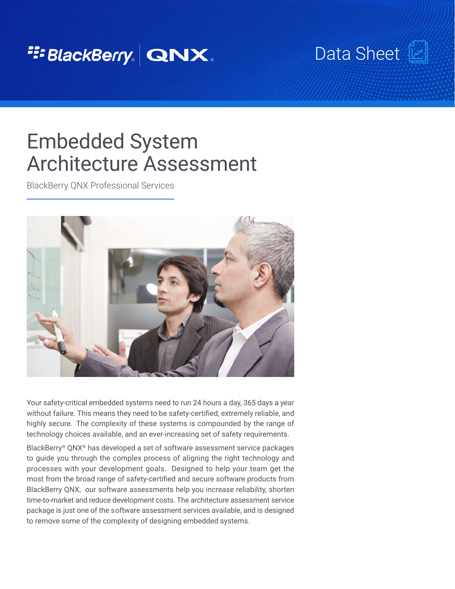## <sup>2</sup><sup>2</sup>BlackBerry. QNX.

Data Sheet [

# Embedded System Architecture Assessment

BlackBerry QNX Professional Services



Your safety-critical embedded systems need to run 24 hours a day, 365 days a year without failure. This means they need to be safety-certified, extremely reliable, and highly secure.  The complexity of these systems is compounded by the range of technology choices available, and an ever-increasing set of safety requirements.

BlackBerry® QNX® has developed a set of software assessment service packages to guide you through the complex process of aligning the right technology and processes with your development goals. Designed to help your team get the most from the broad range of safety-certified and secure software products from BlackBerry QNX, our software assessments help you increase reliability, shorten time-to-market and reduce development costs. The architecture assessment service package is just one of the software assessment services available, and is designed to remove some of the complexity of designing embedded systems.